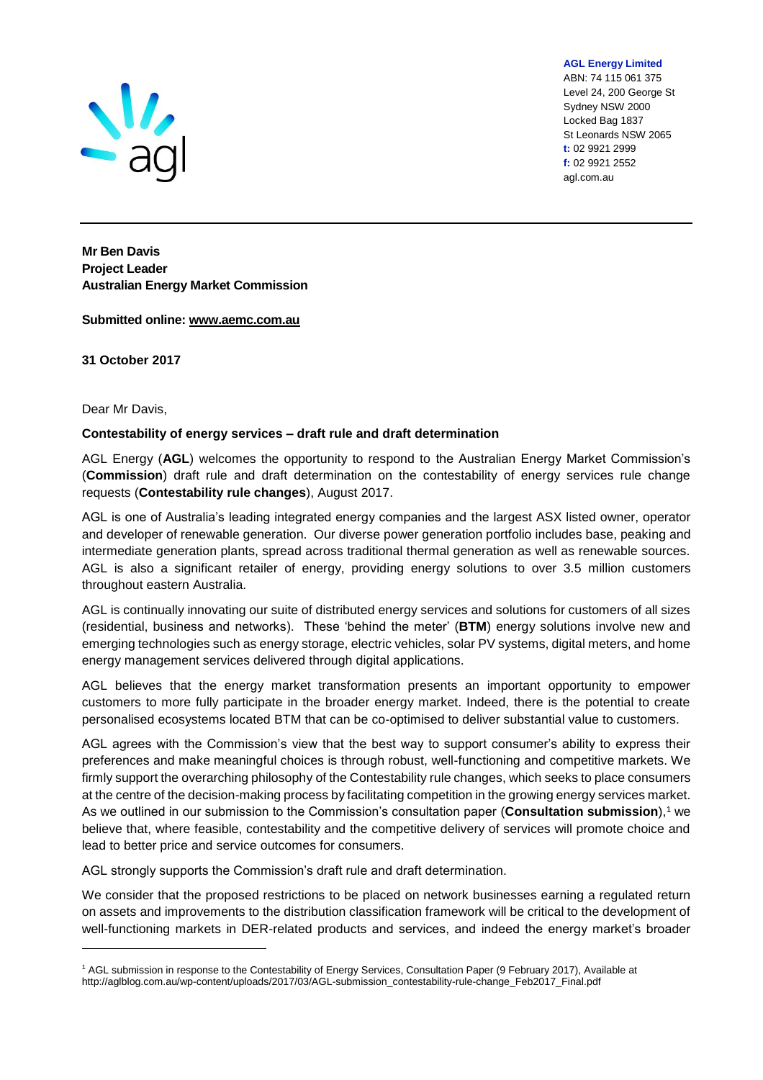

**AGL Energy Limited**

ABN: 74 115 061 375 Level 24, 200 George St Sydney NSW 2000 Locked Bag 1837 St Leonards NSW 2065 **t:** 02 9921 2999 **f:** 02 9921 2552 agl.com.au

**Mr Ben Davis Project Leader Australian Energy Market Commission**

**Submitted online: [www.aemc.com.au](http://www.aemc.com.au/)**

**31 October 2017**

Dear Mr Davis,

l

#### **Contestability of energy services – draft rule and draft determination**

AGL Energy (**AGL**) welcomes the opportunity to respond to the Australian Energy Market Commission's (**Commission**) draft rule and draft determination on the contestability of energy services rule change requests (**Contestability rule changes**), August 2017.

AGL is one of Australia's leading integrated energy companies and the largest ASX listed owner, operator and developer of renewable generation. Our diverse power generation portfolio includes base, peaking and intermediate generation plants, spread across traditional thermal generation as well as renewable sources. AGL is also a significant retailer of energy, providing energy solutions to over 3.5 million customers throughout eastern Australia.

AGL is continually innovating our suite of distributed energy services and solutions for customers of all sizes (residential, business and networks). These 'behind the meter' (**BTM**) energy solutions involve new and emerging technologies such as energy storage, electric vehicles, solar PV systems, digital meters, and home energy management services delivered through digital applications.

AGL believes that the energy market transformation presents an important opportunity to empower customers to more fully participate in the broader energy market. Indeed, there is the potential to create personalised ecosystems located BTM that can be co-optimised to deliver substantial value to customers.

AGL agrees with the Commission's view that the best way to support consumer's ability to express their preferences and make meaningful choices is through robust, well-functioning and competitive markets. We firmly support the overarching philosophy of the Contestability rule changes, which seeks to place consumers at the centre of the decision-making process by facilitating competition in the growing energy services market. As we outlined in our submission to the Commission's consultation paper (**Consultation submission**), <sup>1</sup> we believe that, where feasible, contestability and the competitive delivery of services will promote choice and lead to better price and service outcomes for consumers.

AGL strongly supports the Commission's draft rule and draft determination.

We consider that the proposed restrictions to be placed on network businesses earning a regulated return on assets and improvements to the distribution classification framework will be critical to the development of well-functioning markets in DER-related products and services, and indeed the energy market's broader

<sup>1</sup> AGL submission in response to the Contestability of Energy Services, Consultation Paper (9 February 2017), Available at http://aglblog.com.au/wp-content/uploads/2017/03/AGL-submission\_contestability-rule-change\_Feb2017\_Final.pdf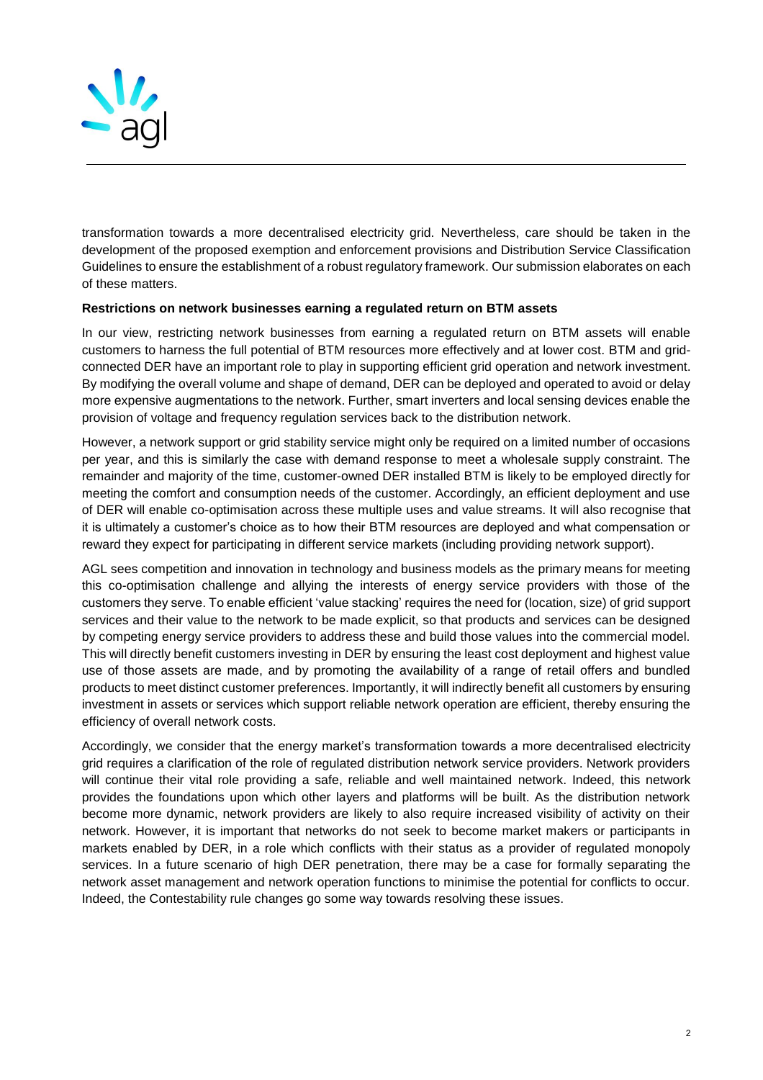

transformation towards a more decentralised electricity grid. Nevertheless, care should be taken in the development of the proposed exemption and enforcement provisions and Distribution Service Classification Guidelines to ensure the establishment of a robust regulatory framework. Our submission elaborates on each of these matters.

### **Restrictions on network businesses earning a regulated return on BTM assets**

In our view, restricting network businesses from earning a regulated return on BTM assets will enable customers to harness the full potential of BTM resources more effectively and at lower cost. BTM and gridconnected DER have an important role to play in supporting efficient grid operation and network investment. By modifying the overall volume and shape of demand, DER can be deployed and operated to avoid or delay more expensive augmentations to the network. Further, smart inverters and local sensing devices enable the provision of voltage and frequency regulation services back to the distribution network.

However, a network support or grid stability service might only be required on a limited number of occasions per year, and this is similarly the case with demand response to meet a wholesale supply constraint. The remainder and majority of the time, customer-owned DER installed BTM is likely to be employed directly for meeting the comfort and consumption needs of the customer. Accordingly, an efficient deployment and use of DER will enable co-optimisation across these multiple uses and value streams. It will also recognise that it is ultimately a customer's choice as to how their BTM resources are deployed and what compensation or reward they expect for participating in different service markets (including providing network support).

AGL sees competition and innovation in technology and business models as the primary means for meeting this co-optimisation challenge and allying the interests of energy service providers with those of the customers they serve. To enable efficient 'value stacking' requires the need for (location, size) of grid support services and their value to the network to be made explicit, so that products and services can be designed by competing energy service providers to address these and build those values into the commercial model. This will directly benefit customers investing in DER by ensuring the least cost deployment and highest value use of those assets are made, and by promoting the availability of a range of retail offers and bundled products to meet distinct customer preferences. Importantly, it will indirectly benefit all customers by ensuring investment in assets or services which support reliable network operation are efficient, thereby ensuring the efficiency of overall network costs.

Accordingly, we consider that the energy market's transformation towards a more decentralised electricity grid requires a clarification of the role of regulated distribution network service providers. Network providers will continue their vital role providing a safe, reliable and well maintained network. Indeed, this network provides the foundations upon which other layers and platforms will be built. As the distribution network become more dynamic, network providers are likely to also require increased visibility of activity on their network. However, it is important that networks do not seek to become market makers or participants in markets enabled by DER, in a role which conflicts with their status as a provider of regulated monopoly services. In a future scenario of high DER penetration, there may be a case for formally separating the network asset management and network operation functions to minimise the potential for conflicts to occur. Indeed, the Contestability rule changes go some way towards resolving these issues.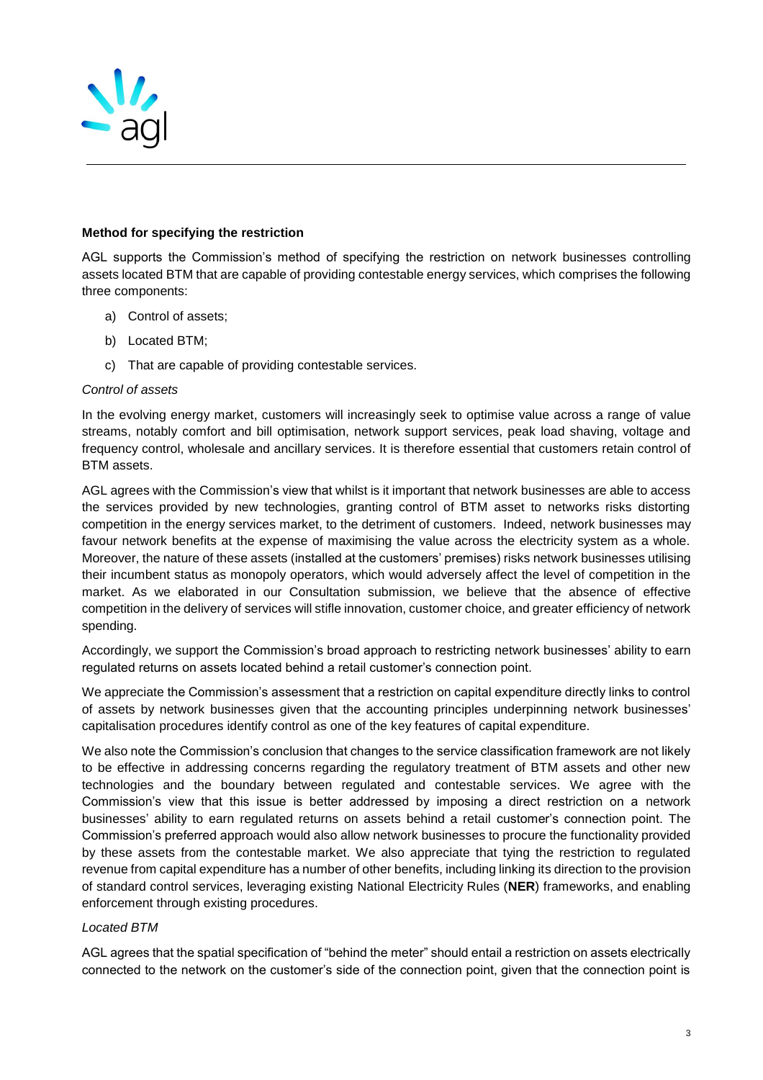

### **Method for specifying the restriction**

AGL supports the Commission's method of specifying the restriction on network businesses controlling assets located BTM that are capable of providing contestable energy services, which comprises the following three components:

- a) Control of assets;
- b) Located BTM;
- c) That are capable of providing contestable services.

# *Control of assets*

In the evolving energy market, customers will increasingly seek to optimise value across a range of value streams, notably comfort and bill optimisation, network support services, peak load shaving, voltage and frequency control, wholesale and ancillary services. It is therefore essential that customers retain control of BTM assets.

AGL agrees with the Commission's view that whilst is it important that network businesses are able to access the services provided by new technologies, granting control of BTM asset to networks risks distorting competition in the energy services market, to the detriment of customers. Indeed, network businesses may favour network benefits at the expense of maximising the value across the electricity system as a whole. Moreover, the nature of these assets (installed at the customers' premises) risks network businesses utilising their incumbent status as monopoly operators, which would adversely affect the level of competition in the market. As we elaborated in our Consultation submission, we believe that the absence of effective competition in the delivery of services will stifle innovation, customer choice, and greater efficiency of network spending.

Accordingly, we support the Commission's broad approach to restricting network businesses' ability to earn regulated returns on assets located behind a retail customer's connection point.

We appreciate the Commission's assessment that a restriction on capital expenditure directly links to control of assets by network businesses given that the accounting principles underpinning network businesses' capitalisation procedures identify control as one of the key features of capital expenditure.

We also note the Commission's conclusion that changes to the service classification framework are not likely to be effective in addressing concerns regarding the regulatory treatment of BTM assets and other new technologies and the boundary between regulated and contestable services. We agree with the Commission's view that this issue is better addressed by imposing a direct restriction on a network businesses' ability to earn regulated returns on assets behind a retail customer's connection point. The Commission's preferred approach would also allow network businesses to procure the functionality provided by these assets from the contestable market. We also appreciate that tying the restriction to regulated revenue from capital expenditure has a number of other benefits, including linking its direction to the provision of standard control services, leveraging existing National Electricity Rules (**NER**) frameworks, and enabling enforcement through existing procedures.

### *Located BTM*

AGL agrees that the spatial specification of "behind the meter" should entail a restriction on assets electrically connected to the network on the customer's side of the connection point, given that the connection point is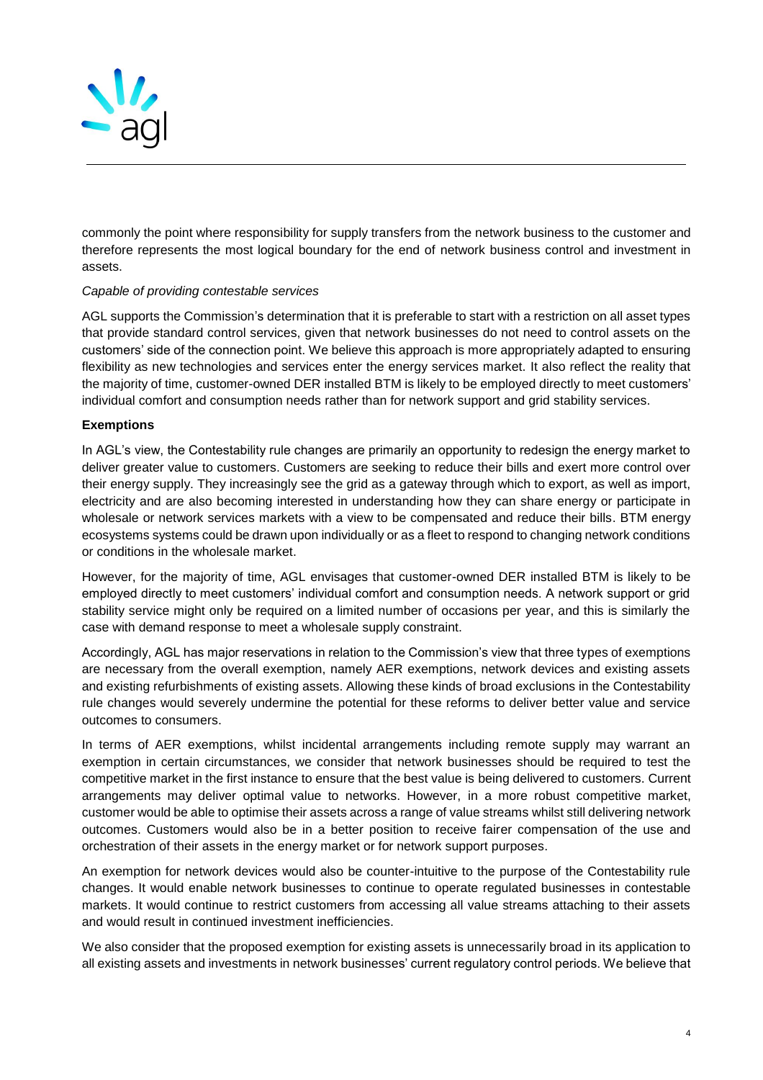

commonly the point where responsibility for supply transfers from the network business to the customer and therefore represents the most logical boundary for the end of network business control and investment in assets.

### *Capable of providing contestable services*

AGL supports the Commission's determination that it is preferable to start with a restriction on all asset types that provide standard control services, given that network businesses do not need to control assets on the customers' side of the connection point. We believe this approach is more appropriately adapted to ensuring flexibility as new technologies and services enter the energy services market. It also reflect the reality that the majority of time, customer-owned DER installed BTM is likely to be employed directly to meet customers' individual comfort and consumption needs rather than for network support and grid stability services.

# **Exemptions**

In AGL's view, the Contestability rule changes are primarily an opportunity to redesign the energy market to deliver greater value to customers. Customers are seeking to reduce their bills and exert more control over their energy supply. They increasingly see the grid as a gateway through which to export, as well as import, electricity and are also becoming interested in understanding how they can share energy or participate in wholesale or network services markets with a view to be compensated and reduce their bills. BTM energy ecosystems systems could be drawn upon individually or as a fleet to respond to changing network conditions or conditions in the wholesale market.

However, for the majority of time, AGL envisages that customer-owned DER installed BTM is likely to be employed directly to meet customers' individual comfort and consumption needs. A network support or grid stability service might only be required on a limited number of occasions per year, and this is similarly the case with demand response to meet a wholesale supply constraint.

Accordingly, AGL has major reservations in relation to the Commission's view that three types of exemptions are necessary from the overall exemption, namely AER exemptions, network devices and existing assets and existing refurbishments of existing assets. Allowing these kinds of broad exclusions in the Contestability rule changes would severely undermine the potential for these reforms to deliver better value and service outcomes to consumers.

In terms of AER exemptions, whilst incidental arrangements including remote supply may warrant an exemption in certain circumstances, we consider that network businesses should be required to test the competitive market in the first instance to ensure that the best value is being delivered to customers. Current arrangements may deliver optimal value to networks. However, in a more robust competitive market, customer would be able to optimise their assets across a range of value streams whilst still delivering network outcomes. Customers would also be in a better position to receive fairer compensation of the use and orchestration of their assets in the energy market or for network support purposes.

An exemption for network devices would also be counter-intuitive to the purpose of the Contestability rule changes. It would enable network businesses to continue to operate regulated businesses in contestable markets. It would continue to restrict customers from accessing all value streams attaching to their assets and would result in continued investment inefficiencies.

We also consider that the proposed exemption for existing assets is unnecessarily broad in its application to all existing assets and investments in network businesses' current regulatory control periods. We believe that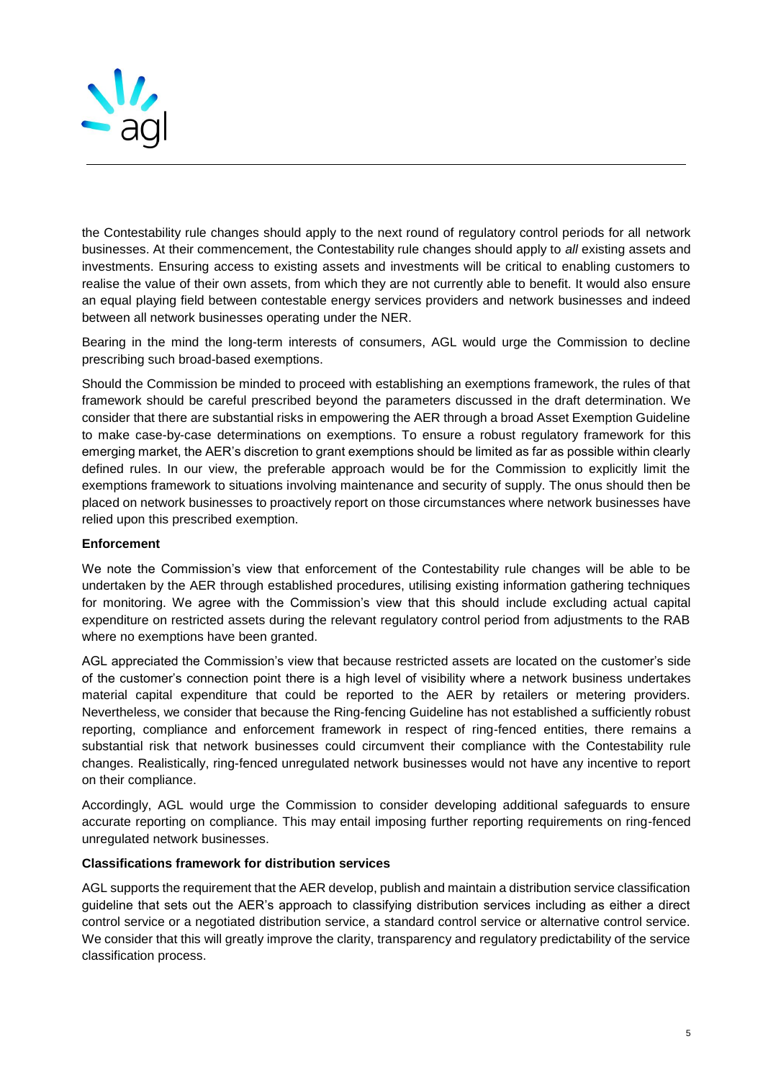

the Contestability rule changes should apply to the next round of regulatory control periods for all network businesses. At their commencement, the Contestability rule changes should apply to *all* existing assets and investments. Ensuring access to existing assets and investments will be critical to enabling customers to realise the value of their own assets, from which they are not currently able to benefit. It would also ensure an equal playing field between contestable energy services providers and network businesses and indeed between all network businesses operating under the NER.

Bearing in the mind the long-term interests of consumers, AGL would urge the Commission to decline prescribing such broad-based exemptions.

Should the Commission be minded to proceed with establishing an exemptions framework, the rules of that framework should be careful prescribed beyond the parameters discussed in the draft determination. We consider that there are substantial risks in empowering the AER through a broad Asset Exemption Guideline to make case-by-case determinations on exemptions. To ensure a robust regulatory framework for this emerging market, the AER's discretion to grant exemptions should be limited as far as possible within clearly defined rules. In our view, the preferable approach would be for the Commission to explicitly limit the exemptions framework to situations involving maintenance and security of supply. The onus should then be placed on network businesses to proactively report on those circumstances where network businesses have relied upon this prescribed exemption.

### **Enforcement**

We note the Commission's view that enforcement of the Contestability rule changes will be able to be undertaken by the AER through established procedures, utilising existing information gathering techniques for monitoring. We agree with the Commission's view that this should include excluding actual capital expenditure on restricted assets during the relevant regulatory control period from adjustments to the RAB where no exemptions have been granted.

AGL appreciated the Commission's view that because restricted assets are located on the customer's side of the customer's connection point there is a high level of visibility where a network business undertakes material capital expenditure that could be reported to the AER by retailers or metering providers. Nevertheless, we consider that because the Ring-fencing Guideline has not established a sufficiently robust reporting, compliance and enforcement framework in respect of ring-fenced entities, there remains a substantial risk that network businesses could circumvent their compliance with the Contestability rule changes. Realistically, ring-fenced unregulated network businesses would not have any incentive to report on their compliance.

Accordingly, AGL would urge the Commission to consider developing additional safeguards to ensure accurate reporting on compliance. This may entail imposing further reporting requirements on ring-fenced unregulated network businesses.

### **Classifications framework for distribution services**

AGL supports the requirement that the AER develop, publish and maintain a distribution service classification guideline that sets out the AER's approach to classifying distribution services including as either a direct control service or a negotiated distribution service, a standard control service or alternative control service. We consider that this will greatly improve the clarity, transparency and regulatory predictability of the service classification process.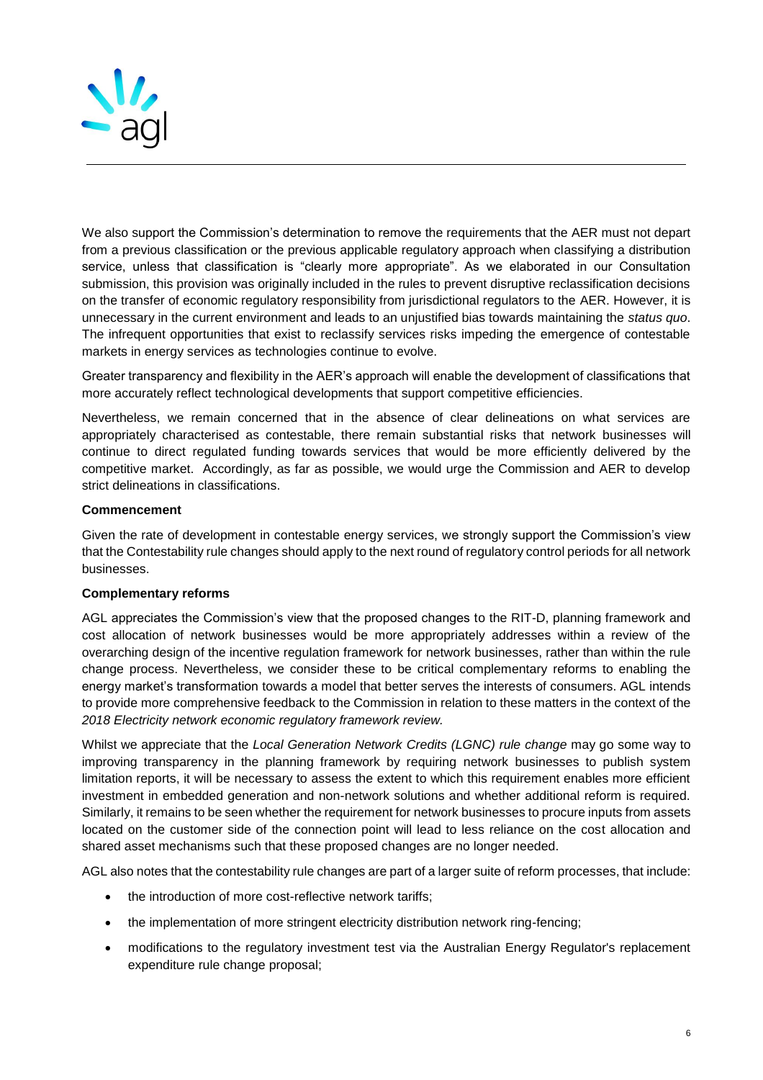

We also support the Commission's determination to remove the requirements that the AER must not depart from a previous classification or the previous applicable regulatory approach when classifying a distribution service, unless that classification is "clearly more appropriate". As we elaborated in our Consultation submission, this provision was originally included in the rules to prevent disruptive reclassification decisions on the transfer of economic regulatory responsibility from jurisdictional regulators to the AER. However, it is unnecessary in the current environment and leads to an unjustified bias towards maintaining the *status quo*. The infrequent opportunities that exist to reclassify services risks impeding the emergence of contestable markets in energy services as technologies continue to evolve.

Greater transparency and flexibility in the AER's approach will enable the development of classifications that more accurately reflect technological developments that support competitive efficiencies.

Nevertheless, we remain concerned that in the absence of clear delineations on what services are appropriately characterised as contestable, there remain substantial risks that network businesses will continue to direct regulated funding towards services that would be more efficiently delivered by the competitive market. Accordingly, as far as possible, we would urge the Commission and AER to develop strict delineations in classifications.

### **Commencement**

Given the rate of development in contestable energy services, we strongly support the Commission's view that the Contestability rule changes should apply to the next round of regulatory control periods for all network businesses.

### **Complementary reforms**

AGL appreciates the Commission's view that the proposed changes to the RIT-D, planning framework and cost allocation of network businesses would be more appropriately addresses within a review of the overarching design of the incentive regulation framework for network businesses, rather than within the rule change process. Nevertheless, we consider these to be critical complementary reforms to enabling the energy market's transformation towards a model that better serves the interests of consumers. AGL intends to provide more comprehensive feedback to the Commission in relation to these matters in the context of the *2018 Electricity network economic regulatory framework review.* 

Whilst we appreciate that the *Local Generation Network Credits (LGNC) rule change* may go some way to improving transparency in the planning framework by requiring network businesses to publish system limitation reports, it will be necessary to assess the extent to which this requirement enables more efficient investment in embedded generation and non-network solutions and whether additional reform is required. Similarly, it remains to be seen whether the requirement for network businesses to procure inputs from assets located on the customer side of the connection point will lead to less reliance on the cost allocation and shared asset mechanisms such that these proposed changes are no longer needed.

AGL also notes that the contestability rule changes are part of a larger suite of reform processes, that include:

- the introduction of more cost-reflective network tariffs:
- the implementation of more stringent electricity distribution network ring-fencing;
- modifications to the regulatory investment test via the Australian Energy Regulator's replacement expenditure rule change proposal;